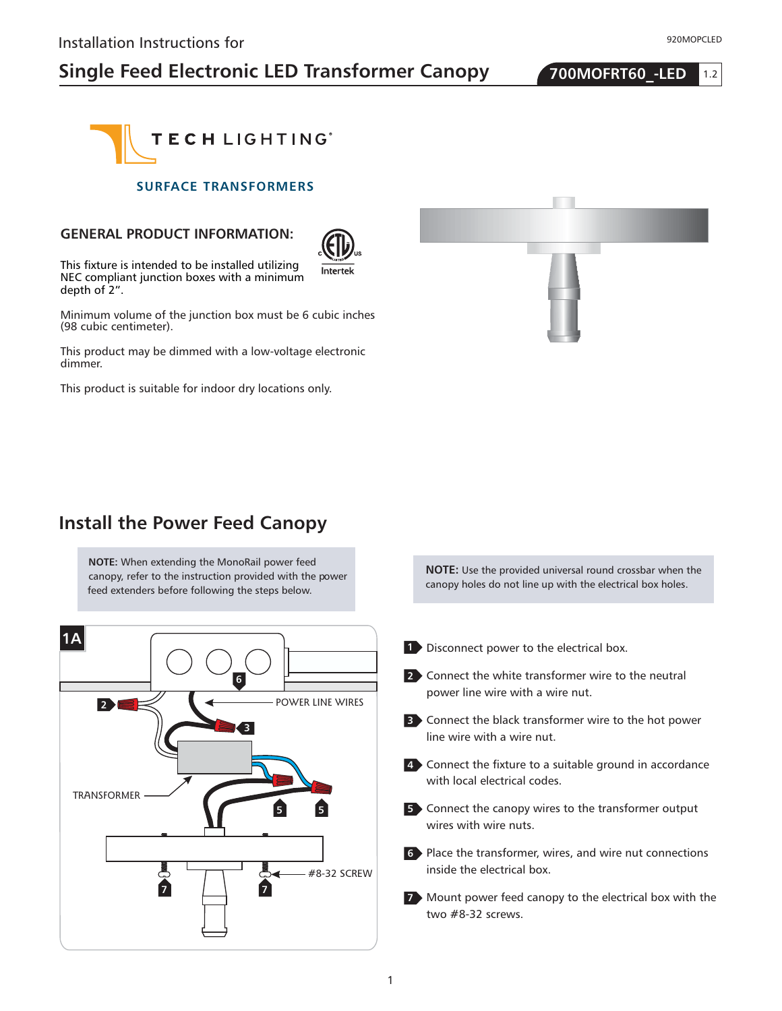# **Single Feed Electronic LED Transformer Canopy 700MOFRT60 -LED**





#### **SURFACE TRANSFORMERS**

#### **GENERAL PRODUCT INFORMATION:**



This fixture is intended to be installed utilizing NEC compliant junction boxes with a minimum depth of 2".

Minimum volume of the junction box must be 6 cubic inches (98 cubic centimeter).

This product may be dimmed with a low-voltage electronic dimmer.

This product is suitable for indoor dry locations only.



### **Install the Power Feed Canopy**

**NOTE:** When extending the MonoRail power feed canopy, refer to the instruction provided with the power feed extenders before following the steps below.



**NOTE:** Use the provided universal round crossbar when the canopy holes do not line up with the electrical box holes.

- **1** Disconnect power to the electrical box.
- **2** Connect the white transformer wire to the neutral power line wire with a wire nut.
- Connect the black transformer wire to the hot power **3** line wire with a wire nut.
- Connect the fixture to a suitable ground in accordance **4** with local electrical codes.
- Connect the canopy wires to the transformer output **5** wires with wire nuts.
- Place the transformer, wires, and wire nut connections **6** inside the electrical box.
- Mount power feed canopy to the electrical box with the **7** two #8-32 screws.